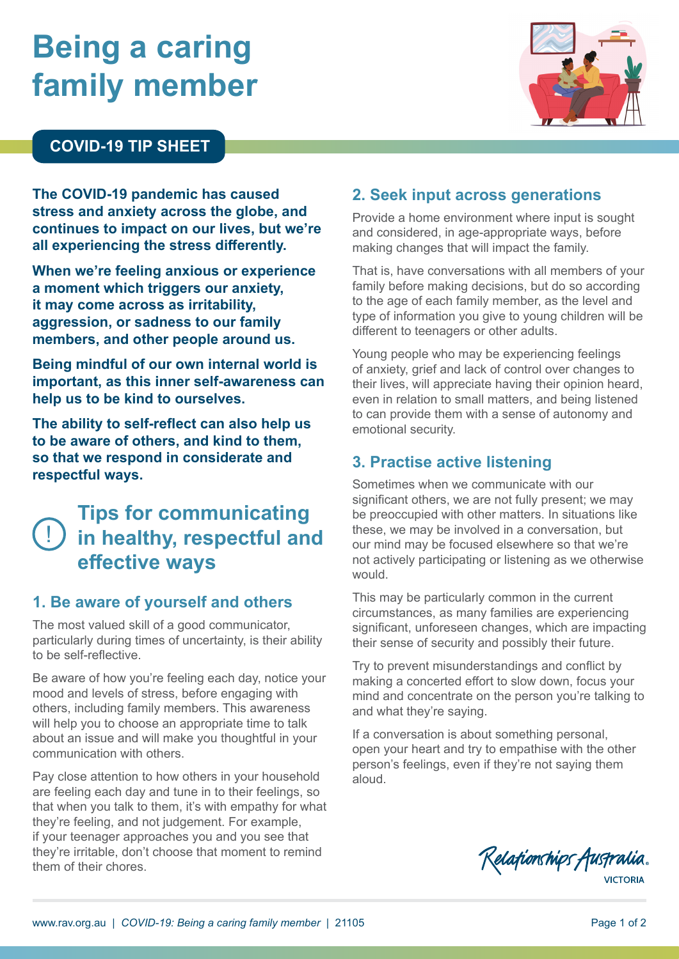# **Being a caring family member**



#### **COVID-19 TIP SHEET**

**The COVID-19 pandemic has caused stress and anxiety across the globe, and continues to impact on our lives, but we're all experiencing the stress differently.**

**When we're feeling anxious or experience a moment which triggers our anxiety, it may come across as irritability, aggression, or sadness to our family members, and other people around us.**

**Being mindful of our own internal world is important, as this inner self-awareness can help us to be kind to ourselves.**

**The ability to self-reflect can also help us to be aware of others, and kind to them, so that we respond in considerate and respectful ways.** 

# ! **in healthy, respectful and Tips for communicating effective ways**

#### **1. Be aware of yourself and others**

The most valued skill of a good communicator, particularly during times of uncertainty, is their ability to be self-reflective.

Be aware of how you're feeling each day, notice your mood and levels of stress, before engaging with others, including family members. This awareness will help you to choose an appropriate time to talk about an issue and will make you thoughtful in your communication with others.

Pay close attention to how others in your household are feeling each day and tune in to their feelings, so that when you talk to them, it's with empathy for what they're feeling, and not judgement. For example, if your teenager approaches you and you see that they're irritable, don't choose that moment to remind them of their chores.

#### **2. Seek input across generations**

Provide a home environment where input is sought and considered, in age-appropriate ways, before making changes that will impact the family.

That is, have conversations with all members of your family before making decisions, but do so according to the age of each family member, as the level and type of information you give to young children will be different to teenagers or other adults.

Young people who may be experiencing feelings of anxiety, grief and lack of control over changes to their lives, will appreciate having their opinion heard, even in relation to small matters, and being listened to can provide them with a sense of autonomy and emotional security.

#### **3. Practise active listening**

Sometimes when we communicate with our significant others, we are not fully present; we may be preoccupied with other matters. In situations like these, we may be involved in a conversation, but our mind may be focused elsewhere so that we're not actively participating or listening as we otherwise would.

This may be particularly common in the current circumstances, as many families are experiencing significant, unforeseen changes, which are impacting their sense of security and possibly their future.

Try to prevent misunderstandings and conflict by making a concerted effort to slow down, focus your mind and concentrate on the person you're talking to and what they're saying.

If a conversation is about something personal, open your heart and try to empathise with the other person's feelings, even if they're not saying them aloud.

Relationships Australia